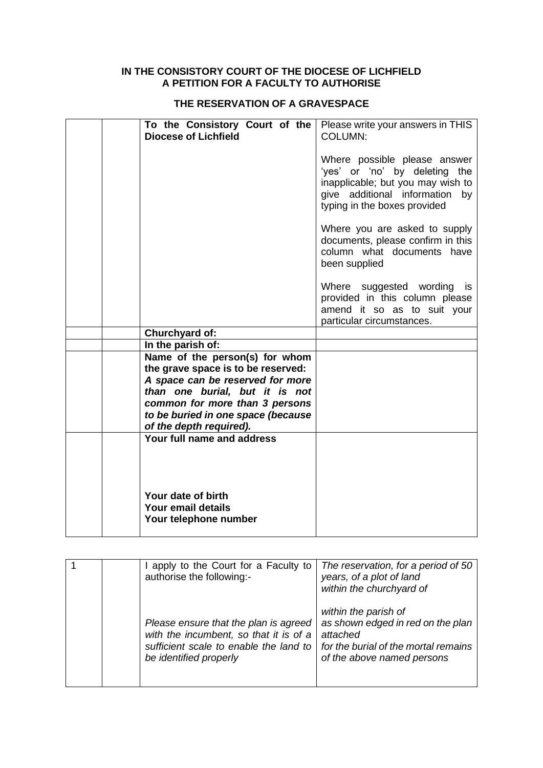## **IN THE CONSISTORY COURT OF THE DIOCESE OF LICHFIELD A PETITION FOR A FACULTY TO AUTHORISE**

## **THE RESERVATION OF A GRAVESPACE**

| To the Consistory Court of the<br><b>Diocese of Lichfield</b> | Please write your answers in THIS<br><b>COLUMN:</b>                                                                                                                  |
|---------------------------------------------------------------|----------------------------------------------------------------------------------------------------------------------------------------------------------------------|
|                                                               | Where possible please answer<br>'yes' or 'no' by deleting the<br>inapplicable; but you may wish to<br>give additional information by<br>typing in the boxes provided |
|                                                               | Where you are asked to supply<br>documents, please confirm in this<br>column what documents have<br>been supplied                                                    |
|                                                               | Where suggested wording is<br>provided in this column please<br>amend it so as to suit your<br>particular circumstances.                                             |
| <b>Churchyard of:</b>                                         |                                                                                                                                                                      |
| In the parish of:                                             |                                                                                                                                                                      |
| Name of the person(s) for whom                                |                                                                                                                                                                      |
| the grave space is to be reserved:                            |                                                                                                                                                                      |
| A space can be reserved for more                              |                                                                                                                                                                      |
| than one burial, but it is not                                |                                                                                                                                                                      |
| common for more than 3 persons                                |                                                                                                                                                                      |
| to be buried in one space (because                            |                                                                                                                                                                      |
| of the depth required).                                       |                                                                                                                                                                      |
| Your full name and address                                    |                                                                                                                                                                      |
| Your date of birth                                            |                                                                                                                                                                      |
| Your email details                                            |                                                                                                                                                                      |
| Your telephone number                                         |                                                                                                                                                                      |
|                                                               |                                                                                                                                                                      |

|  | apply to the Court for a Faculty to<br>authorise the following:-                                                                                    | The reservation, for a period of 50<br>years, of a plot of land<br>within the churchyard of                                                 |
|--|-----------------------------------------------------------------------------------------------------------------------------------------------------|---------------------------------------------------------------------------------------------------------------------------------------------|
|  | Please ensure that the plan is agreed<br>with the incumbent, so that it is of a<br>sufficient scale to enable the land to<br>be identified properly | within the parish of<br>as shown edged in red on the plan<br>attached<br>for the burial of the mortal remains<br>of the above named persons |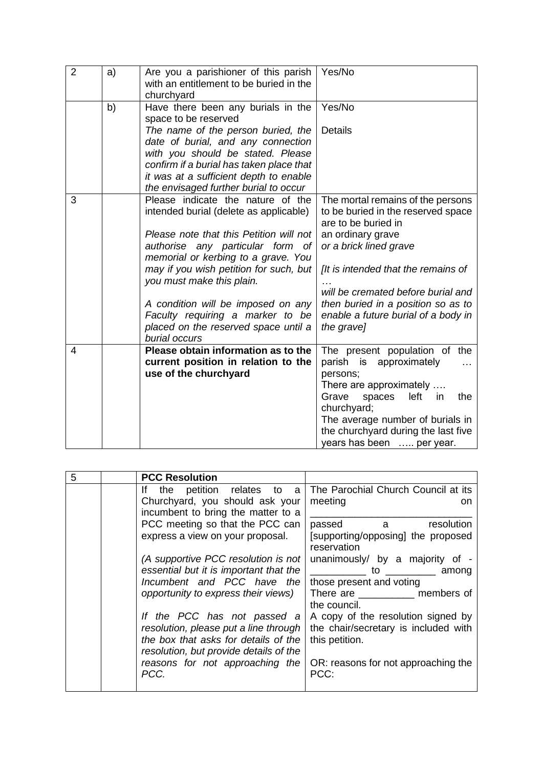| $\overline{2}$ | a) | Are you a parishioner of this parish<br>with an entitlement to be buried in the<br>churchyard | Yes/No                                                           |
|----------------|----|-----------------------------------------------------------------------------------------------|------------------------------------------------------------------|
|                | b) | Have there been any burials in the<br>space to be reserved                                    | Yes/No                                                           |
|                |    | The name of the person buried, the<br>date of burial, and any connection                      | <b>Details</b>                                                   |
|                |    | with you should be stated. Please<br>confirm if a burial has taken place that                 |                                                                  |
|                |    | it was at a sufficient depth to enable<br>the envisaged further burial to occur               |                                                                  |
| 3              |    | Please indicate the nature of the                                                             | The mortal remains of the persons                                |
|                |    | intended burial (delete as applicable)                                                        | to be buried in the reserved space<br>are to be buried in        |
|                |    | Please note that this Petition will not                                                       | an ordinary grave                                                |
|                |    | authorise any particular form of                                                              | or a brick lined grave                                           |
|                |    | memorial or kerbing to a grave. You<br>may if you wish petition for such, but                 | [It is intended that the remains of                              |
|                |    | you must make this plain.                                                                     |                                                                  |
|                |    |                                                                                               | will be cremated before burial and                               |
|                |    | A condition will be imposed on any                                                            | then buried in a position so as to                               |
|                |    | Faculty requiring a marker to be<br>placed on the reserved space until a                      | enable a future burial of a body in<br>the grave]                |
|                |    | burial occurs                                                                                 |                                                                  |
| 4              |    | Please obtain information as to the                                                           | The present population of the                                    |
|                |    | current position in relation to the                                                           | parish is<br>approximately                                       |
|                |    | use of the churchyard                                                                         | persons;<br>There are approximately                              |
|                |    |                                                                                               | Grave<br>left<br>the<br>spaces<br>in                             |
|                |    |                                                                                               | churchyard;                                                      |
|                |    |                                                                                               | The average number of burials in                                 |
|                |    |                                                                                               | the churchyard during the last five<br>years has been  per year. |
|                |    |                                                                                               |                                                                  |

| 5 | <b>PCC Resolution</b>                                                                                                                                                                                                                                                                                                                                   |                                                                                                                                                                                                                                                                |
|---|---------------------------------------------------------------------------------------------------------------------------------------------------------------------------------------------------------------------------------------------------------------------------------------------------------------------------------------------------------|----------------------------------------------------------------------------------------------------------------------------------------------------------------------------------------------------------------------------------------------------------------|
|   | lf –<br>the petition relates to<br>a                                                                                                                                                                                                                                                                                                                    | The Parochial Church Council at its                                                                                                                                                                                                                            |
|   | Churchyard, you should ask your<br>incumbent to bring the matter to a                                                                                                                                                                                                                                                                                   | meeting<br><sub>on</sub>                                                                                                                                                                                                                                       |
|   | PCC meeting so that the PCC can<br>express a view on your proposal.                                                                                                                                                                                                                                                                                     | resolution<br>passed a<br>[supporting/opposing] the proposed<br>reservation                                                                                                                                                                                    |
|   | (A supportive PCC resolution is not<br>essential but it is important that the<br>Incumbent and PCC have the<br>opportunity to express their views)<br>If the PCC has not passed a<br>resolution, please put a line through<br>the box that asks for details of the<br>resolution, but provide details of the<br>reasons for not approaching the<br>PCC. | unanimously/ by a majority of -<br>to among<br>those present and voting<br>There are members of<br>the council.<br>A copy of the resolution signed by<br>the chair/secretary is included with<br>this petition.<br>OR: reasons for not approaching the<br>PCC: |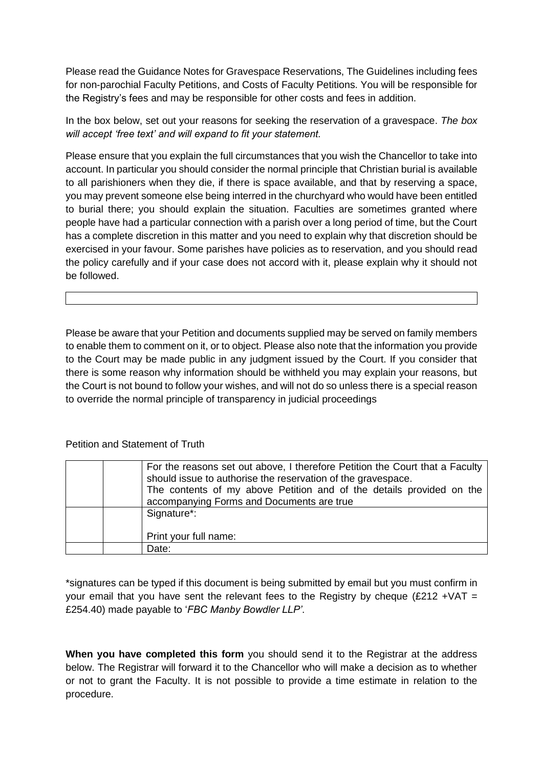Please read the Guidance Notes for Gravespace Reservations, The Guidelines including fees for non-parochial Faculty Petitions, and Costs of Faculty Petitions. You will be responsible for the Registry's fees and may be responsible for other costs and fees in addition.

In the box below, set out your reasons for seeking the reservation of a gravespace. *The box will accept 'free text' and will expand to fit your statement.*

Please ensure that you explain the full circumstances that you wish the Chancellor to take into account. In particular you should consider the normal principle that Christian burial is available to all parishioners when they die, if there is space available, and that by reserving a space, you may prevent someone else being interred in the churchyard who would have been entitled to burial there; you should explain the situation. Faculties are sometimes granted where people have had a particular connection with a parish over a long period of time, but the Court has a complete discretion in this matter and you need to explain why that discretion should be exercised in your favour. Some parishes have policies as to reservation, and you should read the policy carefully and if your case does not accord with it, please explain why it should not be followed.

Please be aware that your Petition and documents supplied may be served on family members to enable them to comment on it, or to object. Please also note that the information you provide to the Court may be made public in any judgment issued by the Court. If you consider that there is some reason why information should be withheld you may explain your reasons, but the Court is not bound to follow your wishes, and will not do so unless there is a special reason to override the normal principle of transparency in judicial proceedings

## Petition and Statement of Truth

| For the reasons set out above, I therefore Petition the Court that a Faculty<br>should issue to authorise the reservation of the gravespace.<br>The contents of my above Petition and of the details provided on the<br>accompanying Forms and Documents are true |
|-------------------------------------------------------------------------------------------------------------------------------------------------------------------------------------------------------------------------------------------------------------------|
|                                                                                                                                                                                                                                                                   |
| Signature*:                                                                                                                                                                                                                                                       |
| Print your full name:                                                                                                                                                                                                                                             |
| Date:                                                                                                                                                                                                                                                             |

\*signatures can be typed if this document is being submitted by email but you must confirm in your email that you have sent the relevant fees to the Registry by cheque (£212 + VAT = £254.40) made payable to '*FBC Manby Bowdler LLP'*.

**When you have completed this form** you should send it to the Registrar at the address below. The Registrar will forward it to the Chancellor who will make a decision as to whether or not to grant the Faculty. It is not possible to provide a time estimate in relation to the procedure.